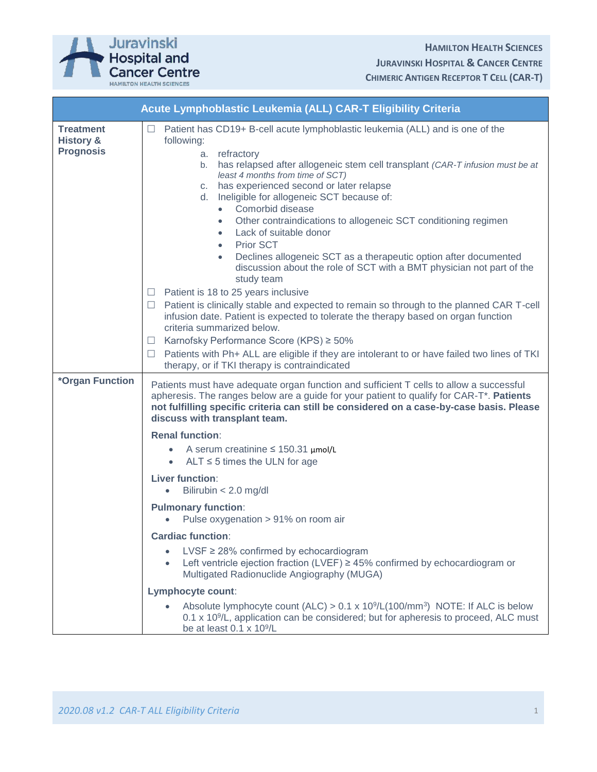

| Acute Lymphoblastic Leukemia (ALL) CAR-T Eligibility Criteria |                                                                                                                                                                                                                                                                                                                                                                                                                                                                                                                                                                                                                                                                                                                                                                                                                                                                                                                                                                                                                                                                                                                                                                     |
|---------------------------------------------------------------|---------------------------------------------------------------------------------------------------------------------------------------------------------------------------------------------------------------------------------------------------------------------------------------------------------------------------------------------------------------------------------------------------------------------------------------------------------------------------------------------------------------------------------------------------------------------------------------------------------------------------------------------------------------------------------------------------------------------------------------------------------------------------------------------------------------------------------------------------------------------------------------------------------------------------------------------------------------------------------------------------------------------------------------------------------------------------------------------------------------------------------------------------------------------|
| <b>Treatment</b><br><b>History &amp;</b><br><b>Prognosis</b>  | Patient has CD19+ B-cell acute lymphoblastic leukemia (ALL) and is one of the<br>$\Box$<br>following:<br>a. refractory<br>b. has relapsed after allogeneic stem cell transplant (CAR-T infusion must be at<br>least 4 months from time of SCT)<br>c. has experienced second or later relapse<br>d. Ineligible for allogeneic SCT because of:<br>Comorbid disease<br>$\bullet$<br>Other contraindications to allogeneic SCT conditioning regimen<br>$\bullet$<br>Lack of suitable donor<br>$\bullet$<br>Prior SCT<br>٠<br>Declines allogeneic SCT as a therapeutic option after documented<br>$\bullet$<br>discussion about the role of SCT with a BMT physician not part of the<br>study team<br>$\Box$ Patient is 18 to 25 years inclusive<br>$\Box$ Patient is clinically stable and expected to remain so through to the planned CAR T-cell<br>infusion date. Patient is expected to tolerate the therapy based on organ function<br>criteria summarized below.<br>Karnofsky Performance Score (KPS) ≥ 50%<br>⊔<br>Patients with Ph+ ALL are eligible if they are intolerant to or have failed two lines of TKI<br>therapy, or if TKI therapy is contraindicated |
| *Organ Function                                               | Patients must have adequate organ function and sufficient T cells to allow a successful<br>apheresis. The ranges below are a guide for your patient to qualify for CAR-T*. Patients<br>not fulfilling specific criteria can still be considered on a case-by-case basis. Please<br>discuss with transplant team.                                                                                                                                                                                                                                                                                                                                                                                                                                                                                                                                                                                                                                                                                                                                                                                                                                                    |
|                                                               | <b>Renal function:</b><br>• A serum creatinine $\leq$ 150.31 $\mu$ mol/L<br>ALT $\leq$ 5 times the ULN for age<br>$\bullet$<br>Liver function:<br>Bilirubin $<$ 2.0 mg/dl<br>$\bullet$<br><b>Pulmonary function:</b><br>Pulse oxygenation > 91% on room air<br><b>Cardiac function:</b><br>$LVSF \geq 28\%$ confirmed by echocardiogram<br>Left ventricle ejection fraction (LVEF) $\geq$ 45% confirmed by echocardiogram or<br>Multigated Radionuclide Angiography (MUGA)<br>Lymphocyte count:<br>Absolute lymphocyte count (ALC) > $0.1 \times 10^9$ /L(100/mm <sup>3</sup> ) NOTE: If ALC is below<br>0.1 x 10 <sup>9</sup> /L, application can be considered; but for apheresis to proceed, ALC must<br>be at least 0.1 x 10 <sup>9</sup> /L                                                                                                                                                                                                                                                                                                                                                                                                                    |